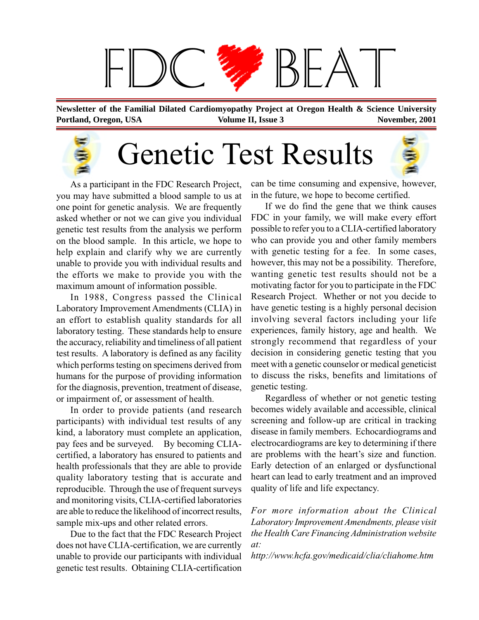

**Portland, Oregon, USA November, 2001 Volume II, Issue 3 November, 2001 Newsletter of the Familial Dilated Cardiomyopathy Project at Oregon Health & Science University**

# Genetic Test Results



As a participant in the FDC Research Project, you may have submitted a blood sample to us at one point for genetic analysis. We are frequently asked whether or not we can give you individual genetic test results from the analysis we perform on the blood sample. In this article, we hope to help explain and clarify why we are currently unable to provide you with individual results and the efforts we make to provide you with the maximum amount of information possible.

In 1988, Congress passed the Clinical Laboratory Improvement Amendments (CLIA) in an effort to establish quality standards for all laboratory testing. These standards help to ensure the accuracy, reliability and timeliness of all patient test results. A laboratory is defined as any facility which performs testing on specimens derived from humans for the purpose of providing information for the diagnosis, prevention, treatment of disease, or impairment of, or assessment of health.

In order to provide patients (and research participants) with individual test results of any kind, a laboratory must complete an application, pay fees and be surveyed. By becoming CLIAcertified, a laboratory has ensured to patients and health professionals that they are able to provide quality laboratory testing that is accurate and reproducible. Through the use of frequent surveys and monitoring visits, CLIA-certified laboratories are able to reduce the likelihood of incorrect results, sample mix-ups and other related errors.

Due to the fact that the FDC Research Project does not have CLIA-certification, we are currently unable to provide our participants with individual genetic test results. Obtaining CLIA-certification

can be time consuming and expensive, however, in the future, we hope to become certified.

If we do find the gene that we think causes FDC in your family, we will make every effort possible to refer you to a CLIA-certified laboratory who can provide you and other family members with genetic testing for a fee. In some cases, however, this may not be a possibility. Therefore, wanting genetic test results should not be a motivating factor for you to participate in the FDC Research Project. Whether or not you decide to have genetic testing is a highly personal decision involving several factors including your life experiences, family history, age and health. We strongly recommend that regardless of your decision in considering genetic testing that you meet with a genetic counselor or medical geneticist to discuss the risks, benefits and limitations of genetic testing.

Regardless of whether or not genetic testing becomes widely available and accessible, clinical screening and follow-up are critical in tracking disease in family members. Echocardiograms and electrocardiograms are key to determining if there are problems with the heart's size and function. Early detection of an enlarged or dysfunctional heart can lead to early treatment and an improved quality of life and life expectancy.

*For more information about the Clinical Laboratory Improvement Amendments, please visit the Health Care Financing Administration website at:*

*http://www.hcfa.gov/medicaid/clia/cliahome.htm*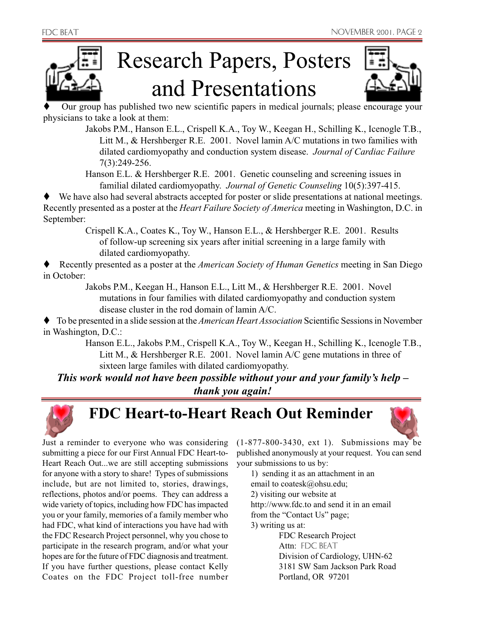

## Research Papers, Posters and Presentations



 Our group has published two new scientific papers in medical journals; please encourage your physicians to take a look at them:

Jakobs P.M., Hanson E.L., Crispell K.A., Toy W., Keegan H., Schilling K., Icenogle T.B., Litt M., & Hershberger R.E. 2001. Novel lamin A/C mutations in two families with dilated cardiomyopathy and conduction system disease. *Journal of Cardiac Failure* 7(3):249-256.

Hanson E.L. & Hershberger R.E. 2001. Genetic counseling and screening issues in familial dilated cardiomyopathy. *Journal of Genetic Counseling* 10(5):397-415.

 We have also had several abstracts accepted for poster or slide presentations at national meetings. Recently presented as a poster at the *Heart Failure Society of America* meeting in Washington, D.C. in September:

Crispell K.A., Coates K., Toy W., Hanson E.L., & Hershberger R.E. 2001. Results of follow-up screening six years after initial screening in a large family with dilated cardiomyopathy.

 Recently presented as a poster at the *American Society of Human Genetics* meeting in San Diego in October:

Jakobs P.M., Keegan H., Hanson E.L., Litt M., & Hershberger R.E. 2001. Novel mutations in four families with dilated cardiomyopathy and conduction system disease cluster in the rod domain of lamin A/C.

 To be presented in a slide session at the *American Heart Association* Scientific Sessions in November in Washington, D.C.:

Hanson E.L., Jakobs P.M., Crispell K.A., Toy W., Keegan H., Schilling K., Icenogle T.B., Litt M., & Hershberger R.E. 2001. Novel lamin A/C gene mutations in three of sixteen large familes with dilated cardiomyopathy.

*This work would not have been possible without your and your family's help – thank you again!*



#### **FDC Heart-to-Heart Reach Out Reminder**



Just a reminder to everyone who was considering submitting a piece for our First Annual FDC Heart-to-Heart Reach Out...we are still accepting submissions for anyone with a story to share! Types of submissions include, but are not limited to, stories, drawings, reflections, photos and/or poems. They can address a wide variety of topics, including how FDC has impacted you or your family, memories of a family member who had FDC, what kind of interactions you have had with the FDC Research Project personnel, why you chose to participate in the research program, and/or what your hopes are for the future of FDC diagnosis and treatment. If you have further questions, please contact Kelly Coates on the FDC Project toll-free number (1-877-800-3430, ext 1). Submissions may be published anonymously at your request. You can send your submissions to us by:

1) sending it as an attachment in an email to coatesk@ohsu.edu; 2) visiting our website at http://www.fdc.to and send it in an email from the "Contact Us" page; 3) writing us at: FDC Research Project Attn: FDC BEAT Division of Cardiology, UHN-62 3181 SW Sam Jackson Park Road

Portland, OR 97201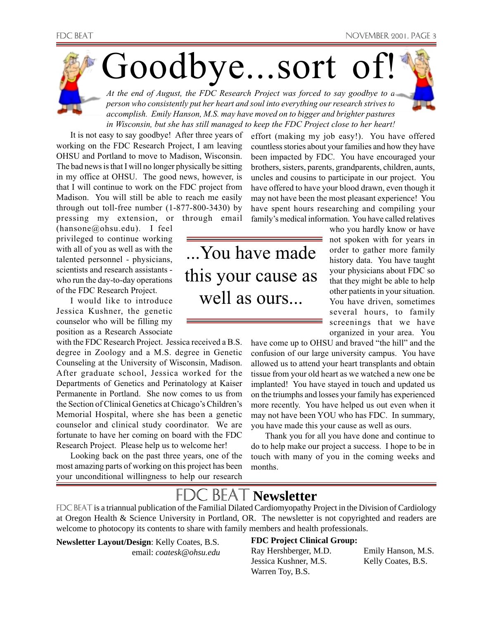

It is not easy to say goodbye! After three years of working on the FDC Research Project, I am leaving OHSU and Portland to move to Madison, Wisconsin. The bad news is that I will no longer physically be sitting in my office at OHSU. The good news, however, is that I will continue to work on the FDC project from Madison. You will still be able to reach me easily through out toll-free number (1-877-800-3430) by pressing my extension, or through email

(hansone@ohsu.edu). I feel privileged to continue working with all of you as well as with the talented personnel - physicians, scientists and research assistants who run the day-to-day operations of the FDC Research Project.

I would like to introduce Jessica Kushner, the genetic counselor who will be filling my position as a Research Associate

with the FDC Research Project. Jessica received a B.S. degree in Zoology and a M.S. degree in Genetic Counseling at the University of Wisconsin, Madison. After graduate school, Jessica worked for the Departments of Genetics and Perinatology at Kaiser Permanente in Portland. She now comes to us from the Section of Clinical Genetics at Chicago's Children's Memorial Hospital, where she has been a genetic counselor and clinical study coordinator. We are fortunate to have her coming on board with the FDC Research Project. Please help us to welcome her!

Looking back on the past three years, one of the most amazing parts of working on this project has been your unconditional willingness to help our research effort (making my job easy!). You have offered countless stories about your families and how they have been impacted by FDC. You have encouraged your brothers, sisters, parents, grandparents, children, aunts, uncles and cousins to participate in our project. You have offered to have your blood drawn, even though it may not have been the most pleasant experience! You have spent hours researching and compiling your family's medical information. You have called relatives

...You have made this your cause as well as ours...

who you hardly know or have not spoken with for years in order to gather more family history data. You have taught your physicians about FDC so that they might be able to help other patients in your situation. You have driven, sometimes several hours, to family screenings that we have organized in your area. You

have come up to OHSU and braved "the hill" and the confusion of our large university campus. You have allowed us to attend your heart transplants and obtain tissue from your old heart as we watched a new one be implanted! You have stayed in touch and updated us on the triumphs and losses your family has experienced more recently. You have helped us out even when it may not have been YOU who has FDC. In summary, you have made this your cause as well as ours.

Thank you for all you have done and continue to do to help make our project a success. I hope to be in touch with many of you in the coming weeks and months.

### **JC BFA Newsletter**

FDC BEAT is a triannual publication of the Familial Dilated Cardiomyopathy Project in the Division of Cardiology at Oregon Health & Science University in Portland, OR. The newsletter is not copyrighted and readers are welcome to photocopy its contents to share with family members and health professionals.

**Newsletter Layout/Design**: Kelly Coates, B.S. email: *coatesk@ohsu.edu*

#### **FDC Project Clinical Group:**

Ray Hershberger, M.D. Emily Hanson, M.S. Jessica Kushner, M.S. Kelly Coates, B.S. Warren Toy, B.S.